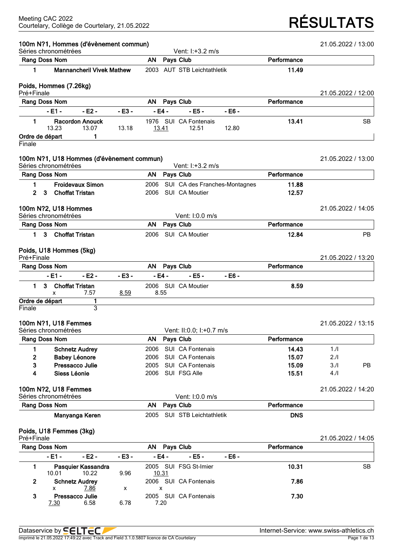# Courtelary, Collège de Courtelary, 21.05.2022 **RÉSULTATS**

|            | Séries chronométrées                         | 100m N?1, Hommes (d'évènement commun)     |         |           |              | Vent: I:+3.2 m/s               |                               |             | 21.05.2022 / 13:00 |           |
|------------|----------------------------------------------|-------------------------------------------|---------|-----------|--------------|--------------------------------|-------------------------------|-------------|--------------------|-----------|
|            | Rang Doss Nom                                |                                           |         | AN        |              | Pays Club                      |                               | Performance |                    |           |
| 1          |                                              | <b>Mannancheril Vivek Mathew</b>          |         |           |              | 2003 AUT STB Leichtathletik    |                               | 11.49       |                    |           |
|            | Poids, Hommes (7.26kg)                       |                                           |         |           |              |                                |                               |             |                    |           |
| Pré+Finale |                                              |                                           |         |           |              |                                |                               |             | 21.05.2022 / 12:00 |           |
|            | Rang Doss Nom                                |                                           |         | AN        |              | Pays Club                      |                               | Performance |                    |           |
|            | $-E1 -$                                      | $-E2 -$                                   | $-E3 -$ |           | $-E4 -$      | $-EB -$                        | $-E6 -$                       |             |                    |           |
| 1.         | 13.23                                        | <b>Racordon Anouck</b><br>13.07           | 13.18   |           | <u>13.41</u> | 1976 SUI CA Fontenais<br>12.51 | 12.80                         | 13.41       |                    | <b>SB</b> |
|            | Ordre de départ                              | 1                                         |         |           |              |                                |                               |             |                    |           |
| Finale     |                                              |                                           |         |           |              |                                |                               |             |                    |           |
|            | Séries chronométrées                         | 100m N?1, U18 Hommes (d'évènement commun) |         |           |              | Vent: I:+3.2 m/s               |                               |             | 21.05.2022 / 13:00 |           |
|            | Rang Doss Nom                                |                                           |         | AN.       |              | Pays Club                      |                               | Performance |                    |           |
| 1.         |                                              | <b>Froidevaux Simon</b>                   |         | 2006      |              |                                | SUI CA des Franches-Montagnes | 11.88       |                    |           |
| 2          | 3                                            | <b>Choffat Tristan</b>                    |         | 2006      |              | SUI CA Moutier                 |                               | 12.57       |                    |           |
|            | 100m N?2, U18 Hommes                         |                                           |         |           |              |                                |                               |             | 21.05.2022 / 14:05 |           |
|            | Séries chronométrées                         |                                           |         |           |              | Vent: 1:0.0 m/s                |                               |             |                    |           |
|            | Rang Doss Nom                                |                                           |         | <b>AN</b> |              | Pays Club                      |                               | Performance |                    |           |
| 1.         | 3                                            | <b>Choffat Tristan</b>                    |         | 2006      |              | SUI CA Moutier                 |                               | 12.84       |                    | <b>PB</b> |
|            | Poids, U18 Hommes (5kg)                      |                                           |         |           |              |                                |                               |             |                    |           |
| Pré+Finale |                                              |                                           |         |           |              |                                |                               |             | 21.05.2022 / 13:20 |           |
|            | Rang Doss Nom                                |                                           |         | AN        |              | Pays Club                      |                               | Performance |                    |           |
|            | $-E1 -$                                      | $-E2 -$                                   | $-E3 -$ |           | $-E4 -$      | $-EB -$                        | $-EB -$                       |             |                    |           |
| 1.         | 3<br>x                                       | <b>Choffat Tristan</b><br>7.57            | 8.59    |           | 8.55         | 2006 SUI CA Moutier            |                               | 8.59        |                    |           |
|            | Ordre de départ                              | 1                                         |         |           |              |                                |                               |             |                    |           |
| Finale     |                                              | 3                                         |         |           |              |                                |                               |             |                    |           |
|            | 100m N?1, U18 Femmes<br>Séries chronométrées |                                           |         |           |              | Vent: II:0.0; I:+0.7 m/s       |                               |             | 21.05.2022 / 13:15 |           |
|            | Rang Doss Nom                                |                                           |         | AN        |              | Pays Club                      |                               | Performance |                    |           |
| 1          |                                              | <b>Schnetz Audrey</b>                     |         | 2006      |              | SUI CA Fontenais               |                               | 14.43       | 1.1                |           |
| 2          |                                              | <b>Babey Léonore</b>                      |         | 2006      |              | SUI CA Fontenais               |                               | 15.07       | 2.11               |           |
| 3          |                                              | Pressacco Julie                           |         | 2005      |              | SUI CA Fontenais               |                               | 15.09       | 3.1                | PB        |
| 4          | Siess Léonie                                 |                                           |         | 2006      |              | SUI FSG Alle                   |                               | 15.51       | 4.1                |           |
|            | 100m N?2, U18 Femmes                         |                                           |         |           |              |                                |                               |             | 21.05.2022 / 14:20 |           |
|            | Séries chronométrées<br>Rang Doss Nom        |                                           |         | AN        |              | Vent: I:0.0 m/s<br>Pays Club   |                               | Performance |                    |           |
|            |                                              | Manyanga Keren                            |         |           |              |                                |                               |             |                    |           |
|            |                                              |                                           |         | 2005      |              | SUI STB Leichtathletik         |                               | <b>DNS</b>  |                    |           |
| Pré+Finale | Poids, U18 Femmes (3kg)                      |                                           |         |           |              |                                |                               |             | 21.05.2022 / 14:05 |           |
|            | Rang Doss Nom                                |                                           |         | AN        |              | Pays Club                      |                               | Performance |                    |           |
|            | $-E1 -$                                      | - E2 -                                    | - E3 -  |           | - E4 -       | $-EB -$                        | $-EB -$                       |             |                    |           |
| 1          |                                              | Pasquier Kassandra                        |         |           |              | 2005 SUI FSG St-Imier          |                               | 10.31       |                    | <b>SB</b> |
|            | 10.01                                        | 10.22                                     | 9.96    |           | 10.31        |                                |                               |             |                    |           |

**2 Schnetz Audrey** 2006 SUI CA Fontenais **7.86**

**3 Pressacco Julie** 2005 SUI CA Fontenais **7.30**

x 7.86 x x

 $6.58$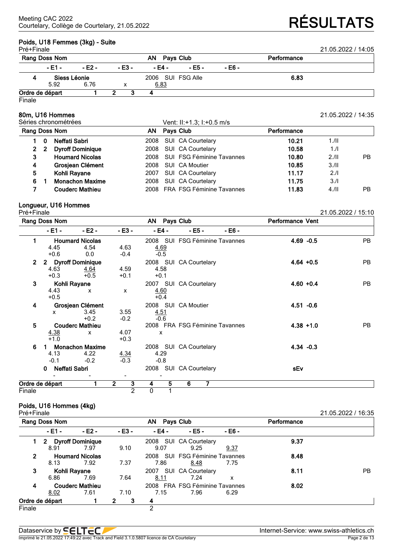# **Poids, U18 Femmes**<br>Pré+Finale

| Poids, U18 Femmes (3kg) - Suite |        |        |              |        |        |             |                    |  |  |  |
|---------------------------------|--------|--------|--------------|--------|--------|-------------|--------------------|--|--|--|
| Pré+Finale                      |        |        |              |        |        |             | 21.05.2022 / 14:05 |  |  |  |
| Rang Doss Nom                   |        |        | AN Pays Club |        |        | Performance |                    |  |  |  |
| - E1 -                          | - F2 - | - E3 - | - E4 -       | - E5 - | - E6 - |             |                    |  |  |  |

### 5.92 6.76 x 6.83 **Ordre de départ 1 2 3 4**

Finale

## **80m, U16 Hommes** 21.05.2022 / 14:35

| Séries chronométrées<br>Rang Doss Nom<br>AN. |    |                         |      | Vent: II:+1.3; I:+0.5 m/s        |             |      |     |  |
|----------------------------------------------|----|-------------------------|------|----------------------------------|-------------|------|-----|--|
|                                              |    |                         |      | Pays Club                        | Performance |      |     |  |
|                                              |    | Neffati Sabri           | 2008 | SUI CA Courtelary                | 10.21       | 1.11 |     |  |
|                                              | -2 | <b>Dyroff Dominique</b> | 2008 | SUI CA Courtelary                | 10.58       | 1.1  |     |  |
| З                                            |    | <b>Houmard Nicolas</b>  | 2008 | <b>SUI FSG Féminine Tavannes</b> | 10.80       | 2.11 | PB. |  |
| 4                                            |    | Grosjean Clément        | 2008 | SUI CA Moutier                   | 10.85       | 3.11 |     |  |
| 5.                                           |    | Kohli Rayane            | 2007 | SUI CA Courtelary                | 11.17       | 2.1  |     |  |
| 6.                                           |    | <b>Monachon Maxime</b>  | 2008 | SUI CA Courtelary                | 11.75       | 3.1  |     |  |
|                                              |    | <b>Couderc Mathieu</b>  |      | 2008 FRA FSG Féminine Tavannes   | 11.83       | 4.11 | PB. |  |

**4 Siess Léonie** 2006 SUI FSG Alle **6.83**

## **Longueur, U16 Hommes**

| Pré+Finale     |                    |                           |                     |                     |                                |        |                         | 21.05.2022 / 15:10 |
|----------------|--------------------|---------------------------|---------------------|---------------------|--------------------------------|--------|-------------------------|--------------------|
|                | Rang Doss Nom      |                           |                     | AN Pays Club        |                                |        | <b>Performance Vent</b> |                    |
|                | - E1 -             | $-E2 -$                   | $-E3 -$             | - E4 -              | $- E5 -$                       | - E6 - |                         |                    |
| 1              |                    | <b>Houmard Nicolas</b>    |                     |                     | 2008 SUI FSG Féminine Tavannes |        | $4.69 - 0.5$            | <b>PB</b>          |
|                | 4.45               | 4.54                      | 4.63                | 4.69                |                                |        |                         |                    |
|                | $+0.6$             | 0.0                       | $-0.4$              | $-0.5$              |                                |        |                         |                    |
| $\overline{2}$ |                    | 2 Dyroff Dominique        |                     |                     | 2008 SUI CA Courtelary         |        | $4.64 + 0.5$            | <b>PB</b>          |
|                | 4.63               | <u>4.64</u>               | 4.59                | 4.58                |                                |        |                         |                    |
|                | $+0.3$             | $+0.5$                    | $+0.1$              | $+0.1$              |                                |        |                         |                    |
| 3              |                    | Kohli Rayane              |                     |                     | 2007 SUI CA Courtelary         |        | $4.60 + 0.4$            | <b>PB</b>          |
|                | 4.43               | $\mathbf{x}$              | X                   | 4.60                |                                |        |                         |                    |
|                | $+0.5$             |                           |                     | $+0.4$              |                                |        |                         |                    |
| 4              |                    | Grosjean Clément          |                     |                     | 2008 SUI CA Moutier            |        | $4.51 - 0.6$            |                    |
|                | x                  | 3.45                      | 3.55                | 4.51                |                                |        |                         |                    |
|                |                    | $+0.2$                    | $-0.2$              | $-0.6$              |                                |        |                         |                    |
| 5              |                    | <b>Couderc Mathieu</b>    |                     |                     | 2008 FRA FSG Féminine Tavannes |        | $4.38 + 1.0$            | PB                 |
|                | 4.38               | $\boldsymbol{\mathsf{x}}$ | 4.07                | X                   |                                |        |                         |                    |
|                | $+1.0$             |                           | $+0.3$              |                     |                                |        |                         |                    |
| 6              |                    | <b>Monachon Maxime</b>    |                     |                     | 2008 SUI CA Courtelary         |        | $4.34 - 0.3$            |                    |
|                | 4.13               | 4.22                      | $\frac{4.34}{-0.3}$ | 4.29                |                                |        |                         |                    |
|                | $-0.1$             | $-0.2$                    |                     | $-0.8$              |                                |        |                         |                    |
|                | Neffati Sabri<br>0 |                           |                     |                     | 2008 SUI CA Courtelary         |        | sEv                     |                    |
|                | Ordre de départ    |                           | $\overline{2}$<br>3 | $\overline{5}$<br>4 | 7<br>6                         |        |                         |                    |
|                |                    |                           | $\overline{2}$      | 0                   |                                |        |                         |                    |
| Finale         |                    |                           |                     |                     |                                |        |                         |                    |

## **Poids, U16 Hommes (4kg)**

Pré+Finale 21.05.2022 / 16:35 **Rang Doss Nom AN Pays Club Performance - E1 - - E2 - - E3 - - E4 - - E5 - - E6 - 1 2 Dyroff Dominique** 2008 SUI CA Courtelary **9.37** 8.91 7.97 9.10 9.07 9.25 9.37 **2 Houmard Nicolas** 2008 SUI FSG Féminine Tavannes **8.48** 8.13 7.92 7.37 7.86 8.48 7.75 **3 Kohli Rayane 2007** SUI CA Courtelary **8.11 8.11** PB<br>**6.86** 7.69 7.64 8.11 7.24 x 6.86 7.69 7.64 8.11 7.24 x **4 Couderc Mathieu** 2008 FRA FSG Féminine Tavannes **8.02** 8.02 7.61 7.10 7.15 7.96 6.29 **Ordre de départ 1 2 3 4** Finale 2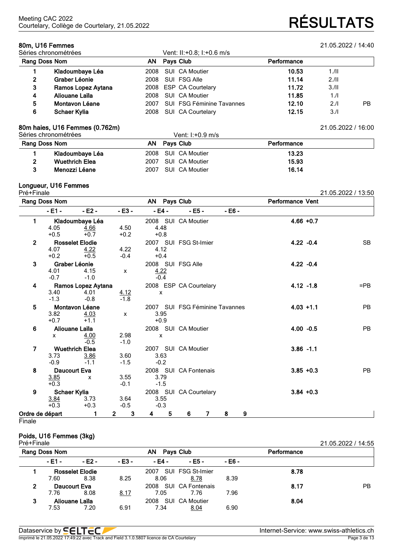| 80m, U16 Femmes<br>Séries chronométrées |                     |           |  | Vent: II:+0.8; I:+0.6 m/s        | 21.05.2022 / 14:40 |      |    |
|-----------------------------------------|---------------------|-----------|--|----------------------------------|--------------------|------|----|
| Rang Doss Nom                           | ΑN                  | Pays Club |  | Performance                      |                    |      |    |
|                                         | Kladoumbaye Léa     | 2008      |  | SUI CA Moutier                   | 10.53              | 1.11 |    |
| 2                                       | Graber Léonie       | 2008      |  | SUI FSG Alle                     | 11.14              | 2.11 |    |
| 3                                       | Ramos Lopez Aytana  |           |  | 2008 ESP CA Courtelary           | 11.72              | 3.11 |    |
| 4                                       | Aliouane Laïla      | 2008      |  | SUI CA Moutier                   | 11.85              | 1.1  |    |
| 5                                       | Montavon Léane      | 2007      |  | <b>SUI FSG Féminine Tavannes</b> | 12.10              | 2.1  | PB |
| 6                                       | <b>Schaer Kylia</b> | 2008      |  | SUI CA Courtelary                | 12.15              | 3.1  |    |

### **80m haies, U16 Femmes (0.762m)** 21.05.2022 / 16:00

|               | Séries chronométrées  |      | Vent: $1: +0.9$ m/s |             |  |
|---------------|-----------------------|------|---------------------|-------------|--|
| Rang Doss Nom |                       |      | AN Pavs Club        | Performance |  |
|               | Kladoumbaye Léa       |      | 2008 SUI CA Moutier | 13.23       |  |
|               | <b>Wuethrich Elea</b> |      | 2007 SUI CA Moutier | 15.93       |  |
|               | Menozzi Léane         | 2007 | SUI CA Moutier      | 16.14       |  |

## **Longueur, U16 Femmes**

| ►<br>nа<br>┍ |  |
|--------------|--|
|              |  |

| Pré+Finale      |                                |                                              |                                |                                     |                                |          |                         | 21.05.2022 / 13:50 |
|-----------------|--------------------------------|----------------------------------------------|--------------------------------|-------------------------------------|--------------------------------|----------|-------------------------|--------------------|
|                 | Rang Doss Nom                  |                                              |                                | AN Pays Club                        |                                |          | <b>Performance Vent</b> |                    |
|                 | $-E1 -$                        | $-E2 -$                                      | $-E3 -$                        | - E4 -                              | $- E5 -$                       | $- E6 -$ |                         |                    |
| 1               | 4.05<br>$+0.5$                 | Kladoumbaye Léa<br>4.66<br>$+0.7$            | 4.50<br>$+0.2$                 | 4.48<br>$+0.8$                      | 2008 SUI CA Moutier            |          | $4.66 + 0.7$            |                    |
| $\overline{2}$  | 4.07<br>$+0.2$                 | <b>Rosselet Elodie</b><br>4.22<br>$+0.5$     | 4.22<br>$-0.4$                 | 4.12<br>$+0.4$                      | 2007 SUI FSG St-Imier          |          | $4.22 - 0.4$            | <b>SB</b>          |
| $\mathbf{3}$    | 4.01<br>$-0.7$                 | Graber Léonie<br>4.15<br>$-1.0$              | $\mathsf{x}$                   | 2008 SUI FSG Alle<br>4.22<br>$-0.4$ |                                |          | $4.22 - 0.4$            |                    |
| 4               | 3.40<br>$-1.3$                 | Ramos Lopez Aytana<br>4.01<br>$-0.8$         | 4.12<br>$-1.8$                 | $\boldsymbol{\mathsf{x}}$           | 2008 ESP CA Courtelary         |          | $4.12 - 1.8$            | $=$ PB             |
| 5               | 3.82<br>$+0.7$                 | Montavon Léane<br>4.03<br>$+1.1$             | $\mathsf{x}$                   | 3.95<br>$+0.9$                      | 2007 SUI FSG Féminine Tavannes |          | $4.03 + 1.1$            | <b>PB</b>          |
| 6               | $\mathsf{x}$                   | Aliouane Laïla<br>4.00<br>$-0.5$             | 2.98<br>$-1.0$                 | $\pmb{\chi}$                        | 2008 SUI CA Moutier            |          | $4.00 -0.5$             | <b>PB</b>          |
| $\overline{7}$  | 3.73<br>$-0.9$                 | <b>Wuethrich Elea</b><br>$\frac{3.86}{-1.1}$ | 3.60<br>$-1.5$                 | 3.63<br>$-0.2$                      | 2007 SUI CA Moutier            |          | $3.86 - 1.1$            |                    |
| 8               | Daucourt Eva<br>3.85<br>$+0.3$ | $\mathsf{x}$                                 | 3.55<br>$-0.1$                 | 3.79<br>$-1.5$                      | 2008 SUI CA Fontenais          |          | $3.85 + 0.3$            | <b>PB</b>          |
| 9               | Schaer Kylia<br>3.84<br>$+0.3$ | 3.73<br>$+0.3$                               | 3.64<br>$-0.5$                 | 3.55<br>$-0.3$                      | 2008 SUI CA Courtelary         |          | $3.84 + 0.3$            |                    |
| Ordre de départ |                                | 1                                            | $\mathbf{3}$<br>$\overline{2}$ | 5<br>4                              | 6<br>$\overline{7}$            | 9<br>8   |                         |                    |

**Finale** 

## **Poids, U16 Femmes (3kg)**

| Pré+Finale    |        |                        |         |        |                       |             |      | 21.05.2022 / 14:55 |
|---------------|--------|------------------------|---------|--------|-----------------------|-------------|------|--------------------|
| Rang Doss Nom |        | AN<br>Pays Club        |         |        |                       | Performance |      |                    |
|               | - E1 - | $-E2 -$                | $-E3 -$ | - E4 - | - E5 -                | - E6 -      |      |                    |
|               |        | <b>Rosselet Elodie</b> |         | 2007   | SUI FSG St-Imier      |             | 8.78 |                    |
|               | 7.60   | 8.38                   | 8.25    | 8.06   | 8.78                  | 8.39        |      |                    |
| 2             |        | Daucourt Eva           |         |        | 2008 SUI CA Fontenais |             | 8.17 | PB.                |
|               | 7.76   | 8.08                   | 8.17    | 7.05   | 7.76                  | 7.96        |      |                    |
| 3             |        | Aliouane Laïla         |         | 2008   | SUI CA Moutier        |             | 8.04 |                    |
|               | 7.53   | 7.20                   | 6.91    | 7.34   | 8.04                  | 6.90        |      |                    |

Imprimé le 21.05.2022 17:49:22 avec Track and Field 3.1.0.5807 licence de CA Courtelary

Courtelary, Collège de Courtelary, 21.05.2022 **RÉSULTATS**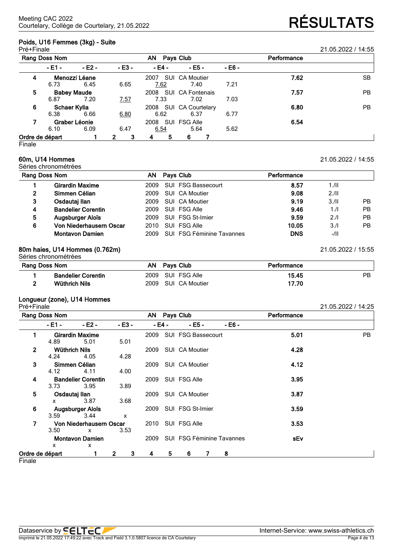## **Poids, U16 Femmes (3kg) - Suite**

| Pré+Finale      |              |                    |                   |           |                         |        |             | 21.05.2022 / 14:55 |
|-----------------|--------------|--------------------|-------------------|-----------|-------------------------|--------|-------------|--------------------|
| Rang Doss Nom   |              |                    |                   | <b>AN</b> | Pays Club               |        | Performance |                    |
|                 | - E1 -       | $-E2 -$            | $-E3 -$           | - E4 -    | $-EB -$                 | - E6 - |             |                    |
| 4               |              | Menozzi Léane      |                   | 2007      | SUI CA Moutier          |        | 7.62        | <b>SB</b>          |
|                 | 6.73         | 6.45               | 6.65              | 7.62      | 7.40                    | 7.21   |             |                    |
| 5               |              | <b>Babey Maude</b> |                   | 2008      | <b>SUI CA Fontenais</b> |        | 7.57        | PB.                |
|                 | 6.87         | 7.20               | <u>7.57</u>       | 7.33      | 7.02                    | 7.03   |             |                    |
| 6               | Schaer Kylia |                    |                   | 2008      | SUI CA Courtelary       |        | 6.80        | PB.                |
|                 | 6.38         | 6.66               | 6.80              | 6.62      | 6.37                    | 6.77   |             |                    |
|                 |              | Graber Léonie      |                   | 2008      | SUI FSG Alle            |        | 6.54        |                    |
|                 | 6.10         | 6.09               | 6.47              | 6.54      | 5.64                    | 5.62   |             |                    |
| Ordre de départ |              |                    | 3<br>$\mathbf{2}$ | 5<br>4    | 6                       |        |             |                    |

Finale

## **60m, U14 Hommes** 21.05.2022 / 14:55

Séries chronométrées

| Rang Doss Nom  |                           |  | AN Pays Club                   | Performance |        |           |  |  |  |
|----------------|---------------------------|--|--------------------------------|-------------|--------|-----------|--|--|--|
|                | <b>Girardin Maxime</b>    |  | 2009 SUI FSG Bassecourt        | 8.57        | 1.11   |           |  |  |  |
| $\overline{2}$ | Simmen Célian             |  | 2009 SUI CA Moutier            | 9.08        | 2.11   |           |  |  |  |
| 3              | Osdautaj Ilan             |  | 2009 SUI CA Moutier            | 9.19        | 3/II   | <b>PB</b> |  |  |  |
| 4              | <b>Bandelier Corentin</b> |  | 2009 SUI FSG Alle              | 9.46        | 1/l    | <b>PB</b> |  |  |  |
| 5              | <b>Augsburger Aloïs</b>   |  | 2009 SUI FSG St-Imier          | 9.59        | 2.1    | <b>PB</b> |  |  |  |
| 6              | Von Niederhausern Oscar   |  | 2010 SUI FSG Alle              | 10.05       | 3.1    | PB.       |  |  |  |
|                | <b>Montavon Damien</b>    |  | 2009 SUI FSG Féminine Tavannes | <b>DNS</b>  | $-/II$ |           |  |  |  |

## **80m haies, U14 Hommes (0.762m)** 21.05.2022 / 15:55

Séries chronométrées

| <b>Rang Doss Nom</b> |                           |  | Pavs Club           | Performance |    |
|----------------------|---------------------------|--|---------------------|-------------|----|
|                      | <b>Bandelier Corentin</b> |  | 2009 SUI FSG Alle   | 15.45       | PB |
|                      | Wüthrich Nils             |  | 2009 SUI CA Moutier | 17.70       |    |

## **Longueur (zone), U14 Hommes**

| Pré+Finale      |                      |                           |                   |      |        |                                |         |             | 21.05.2022 / 14:25 |
|-----------------|----------------------|---------------------------|-------------------|------|--------|--------------------------------|---------|-------------|--------------------|
|                 | Rang Doss Nom        |                           |                   |      |        | AN Pays Club                   |         | Performance |                    |
|                 | - E1 -               | $-E2 -$                   | $-E3 -$           |      | - E4 - | $-EB-$                         | $-EB -$ |             |                    |
|                 |                      | <b>Girardin Maxime</b>    |                   | 2009 |        | SUI FSG Bassecourt             |         | 5.01        | PB                 |
|                 | 4.89                 | 5.01                      | 5.01              |      |        |                                |         |             |                    |
| $\overline{2}$  | <b>Wüthrich Nils</b> |                           |                   | 2009 |        | SUI CA Moutier                 |         | 4.28        |                    |
|                 | 4.24                 | 4.05                      | 4.28              |      |        |                                |         |             |                    |
| 3               |                      | Simmen Célian             |                   |      |        | 2009 SUI CA Moutier            |         | 4.12        |                    |
|                 | 4.12                 | 4.11                      | 4.00              |      |        |                                |         |             |                    |
| 4               |                      | <b>Bandelier Corentin</b> |                   | 2009 |        | SUI FSG Alle                   |         | 3.95        |                    |
|                 | 3.73                 | 3.95                      | 3.89              |      |        |                                |         |             |                    |
| 5               | Osdautaj Ilan        |                           |                   | 2009 |        | SUI CA Moutier                 |         | 3.87        |                    |
|                 | x                    | 3.87                      | 3.68              |      |        |                                |         |             |                    |
| 6               |                      | Augsburger Aloïs          |                   |      |        | 2009 SUI FSG St-Imier          |         | 3.59        |                    |
|                 | 3.59                 | 3.44                      | X                 |      |        |                                |         |             |                    |
| 7               |                      | Von Niederhausern Oscar   |                   |      |        | 2010 SUI FSG Alle              |         | 3.53        |                    |
|                 | 3.50                 | $\mathsf{x}$              | 3.53              |      |        |                                |         |             |                    |
|                 |                      | <b>Montavon Damien</b>    |                   |      |        | 2009 SUI FSG Féminine Tavannes |         | sEv         |                    |
|                 | $\mathsf{x}$         | X                         |                   |      |        |                                |         |             |                    |
| Ordre de départ |                      |                           | $\mathbf{2}$<br>3 | 4    | 5.     | 6                              | 8       |             |                    |

**Finale**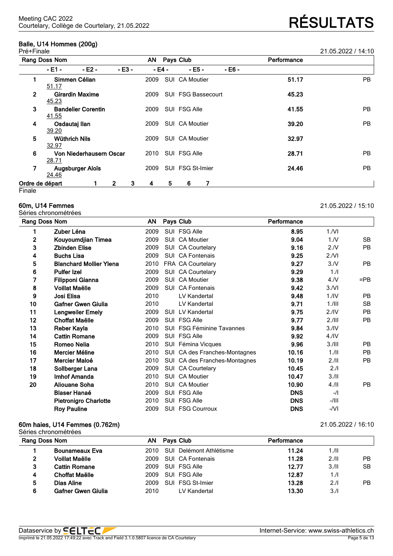## **Balle, U14 Hommes (200g)**

32.97

28.71

24.46

| Pré+Finale   |                                    |        |        |                           |        |       | 21.05.2022 / 14:10 |
|--------------|------------------------------------|--------|--------|---------------------------|--------|-------|--------------------|
|              | Rang Doss Nom                      | AN     |        | Pays Club                 |        |       |                    |
|              | $-E2 -$<br>- E1 -                  | - E3 - | - E4 - | $- E5 -$                  | - E6 - |       |                    |
|              | Simmen Célian<br>51.17             | 2009   |        | SUI CA Moutier            |        | 51.17 | <b>PB</b>          |
| $\mathbf{2}$ | <b>Girardin Maxime</b><br>45.23    | 2009   |        | <b>SUI FSG Bassecourt</b> |        | 45.23 |                    |
| 3            | <b>Bandelier Corentin</b><br>41.55 | 2009   |        | SUI FSG Alle              |        | 41.55 | <b>PB</b>          |
| 4            | Osdautaj llan<br>39.20             | 2009   |        | SUI CA Moutier            |        | 39.20 | PB                 |
| 5            | <b>Wüthrich Nils</b><br>22.27      | 2009   |        | SUI CA Moutier            |        | 32.97 |                    |

## **Ordre de départ 1 2 3 4 5 6 7**

**Finale** 

### **60m, U14 Femmes** 21.05.2022 / 15:10

Séries chronométrées

|              | Rang Doss Nom                  |      |            | Pays Club                        | Performance |                  |           |
|--------------|--------------------------------|------|------------|----------------------------------|-------------|------------------|-----------|
| 1            | Zuber Léna                     | 2009 |            | SUI FSG Alle                     | 8.95        | 1/NI             |           |
| $\mathbf{2}$ | Kouyoumdjian Timea             | 2009 |            | SUI CA Moutier                   | 9.04        | 1/N              | <b>SB</b> |
| 3            | <b>Zbinden Elise</b>           | 2009 |            | SUI CA Courtelary                | 9.16        | 2.N              | PB        |
| 4            | <b>Buchs Lisa</b>              | 2009 |            | SUI CA Fontenais                 | 9.25        | 2.NI             |           |
| 5            | <b>Blanchard Mollier Ylena</b> | 2010 |            | FRA CA Courtelary                | 9.27        | 3/N              | <b>PB</b> |
| 6            | <b>Pulfer Izel</b>             | 2009 |            | SUI CA Courtelary                | 9.29        | 1.1              |           |
| 7            | <b>Filipponi Gianna</b>        | 2009 | <b>SUI</b> | <b>CA Moutier</b>                | 9.38        | 4. N             | $=$ PB    |
| 8            | Voillat Maëlle                 | 2009 |            | <b>SUI</b> CA Fontenais          | 9.42        | 3/Nl             |           |
| 9            | Josi Elisa                     | 2010 |            | LV Kandertal                     | 9.48        | 1.1V             | <b>PB</b> |
| 10           | Gafner Gwen Giulia             | 2010 |            | LV Kandertal                     | 9.71        | $1.1$ III        | <b>SB</b> |
| 11           | <b>Lengweiler Emely</b>        | 2009 |            | <b>SUI LV Kandertal</b>          | 9.75        | 2.1V             | <b>PB</b> |
| 12           | Choffat Maëlle                 | 2009 |            | SUI FSG Alle                     | 9.77        | 2.111            | <b>PB</b> |
| 13           | Reber Kayla                    | 2010 |            | <b>SUI FSG Féminine Tavannes</b> | 9.84        | 3.1V             |           |
| 14           | <b>Cattin Romane</b>           | 2009 |            | SUI FSG Alle                     | 9.92        | 4.1 <sub>N</sub> |           |
| 15           | Romeo Nelia                    | 2010 |            | SUI Fémina Vicques               | 9.96        | 3.111            | <b>PB</b> |
| 16           | Mercier Méline                 | 2010 |            | SUI CA des Franches-Montagnes    | 10.16       | 1.11             | <b>PB</b> |
| 17           | Mercier Maloé                  | 2010 |            | SUI CA des Franches-Montagnes    | 10.19       | 2.11             | <b>PB</b> |
| 18           | Sollberger Lana                | 2009 | SUI        | <b>CA Courtelary</b>             | 10.45       | 2.1              |           |
| 19           | Imhof Amanda                   | 2010 | SUI        | <b>CA Moutier</b>                | 10.47       | 3.11             |           |
| 20           | Aliouane Soha                  | 2010 | <b>SUI</b> | <b>CA Moutier</b>                | 10.90       | $4.$ /II         | <b>PB</b> |
|              | <b>Blaser Hanaé</b>            | 2009 |            | SUI FSG Alle                     | <b>DNS</b>  | $-$ /l           |           |
|              | <b>Pietronigro Charlotte</b>   | 2010 |            | SUI FSG Alle                     | <b>DNS</b>  | $-/$             |           |
|              | <b>Roy Pauline</b>             | 2009 |            | <b>SUI FSG Courroux</b>          | <b>DNS</b>  | -/VI             |           |
|              |                                |      |            |                                  |             |                  |           |

**6 Von Niederhausern Oscar** 2010 SUI FSG Alle **28.71** PB

**7 Augsburger Aloïs** 2009 SUI FSG St-Imier **24.46** PB

### **60m haies, U14 Femmes (0.762m)** 21.05.2022 / 16:10

|   | Séries chronométrées  |      |                         |             |      |    |
|---|-----------------------|------|-------------------------|-------------|------|----|
|   | Rang Doss Nom         | AN.  | <b>Pays Club</b>        | Performance |      |    |
|   | <b>Bounameaux Eva</b> | 2010 | SUI Delémont Athlétisme | 11.24       | 1.11 |    |
|   | <b>Voillat Maëlle</b> | 2009 | SUI CA Fontenais        | 11.28       | 2.11 | РB |
| 3 | <b>Cattin Romane</b>  | 2009 | SUI FSG Alle            | 12.77       | 3/II | SB |
| 4 | <b>Choffat Maëlle</b> | 2009 | SUI FSG Alle            | 12.87       | 1/l  |    |
| 5 | Dias Aline            | 2009 | SUI FSG St-Imier        | 13.28       | 2.1  | РB |
| 6 | Gafner Gwen Giulia    | 2010 | LV Kandertal            | 13.30       | 3.1  |    |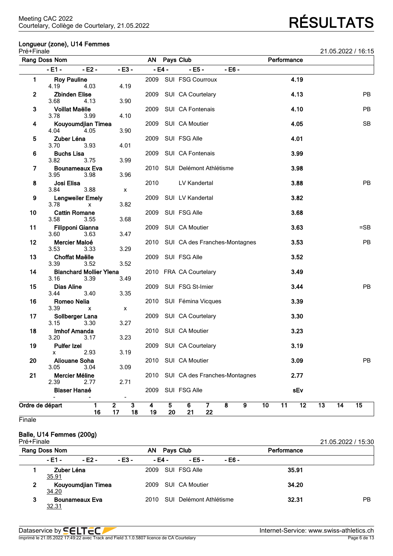## **Longueur (zone), U14 Femmes**

| Pré+Finale   |                                          |          |                                                  |                                                                |                      |                                                    |                | 21.05.2022 / 16:15 |
|--------------|------------------------------------------|----------|--------------------------------------------------|----------------------------------------------------------------|----------------------|----------------------------------------------------|----------------|--------------------|
|              | Rang Doss Nom                            |          |                                                  | AN                                                             |                      | Pays Club                                          | Performance    |                    |
|              | - E1 -                                   | $- E2 -$ | $-E3-$                                           |                                                                | $-E4-$               | $- E5 -$<br>$-EB -$                                |                |                    |
| 1.           | <b>Roy Pauline</b><br>4.19               | 4.03     | 4.19                                             |                                                                |                      | 2009 SUI FSG Courroux                              | 4.19           |                    |
| $\mathbf{2}$ | <b>Zbinden Elise</b><br>3.68             | 4.13     | 3.90                                             | 2009                                                           |                      | SUI CA Courtelary                                  | 4.13           | PB                 |
| 3            | <b>Voillat Maëlle</b><br>3.78            | 3.99     | 4.10                                             | 2009                                                           |                      | SUI CA Fontenais                                   | 4.10           | <b>PB</b>          |
| 4            | Kouyoumdjian Timea<br>4.04               | 4.05     | 3.90                                             | 2009                                                           |                      | SUI CA Moutier                                     | 4.05           | <b>SB</b>          |
| 5            | Zuber Léna<br>3.70                       | 3.93     | 4.01                                             | 2009                                                           |                      | SUI FSG Alle                                       | 4.01           |                    |
| 6            | <b>Buchs Lisa</b><br>3.82                | 3.75     | 3.99                                             | 2009                                                           |                      | SUI CA Fontenais                                   | 3.99           |                    |
| 7            | <b>Bounameaux Eva</b><br>3.95            | 3.98     | 3.96                                             | 2010                                                           |                      | SUI Delémont Athlétisme                            | 3.98           |                    |
| 8            | Josi Elisa<br>3.84                       | 3.88     | X                                                | 2010                                                           |                      | LV Kandertal                                       | 3.88           | PB                 |
| 9            | <b>Lengweiler Emely</b><br>3.78          | x        | 3.82                                             | 2009                                                           |                      | SUI LV Kandertal                                   | 3.82           |                    |
| 10           | <b>Cattin Romane</b><br>3.58             | 3.55     | 3.68                                             | 2009                                                           |                      | SUI FSG Alle                                       | 3.68           |                    |
| 11           | Filipponi Gianna<br>3.60                 | 3.63     | 3.47                                             | 2009                                                           |                      | SUI CA Moutier                                     | 3.63           | $=$ SB             |
| 12           | Mercier Maloé<br>3.53                    | 3.33     | 3.29                                             | 2010                                                           |                      | SUI CA des Franches-Montagnes                      | 3.53           | <b>PB</b>          |
| 13           | <b>Choffat Maëlle</b><br>3.39            | 3.52     | 3.52                                             | 2009                                                           |                      | SUI FSG Alle                                       | 3.52           |                    |
| 14<br>15     | <b>Blanchard Mollier Ylena</b><br>3.16   | 3.39     | 3.49                                             |                                                                |                      | 2010 FRA CA Courtelary                             | 3.49           | PB                 |
| 16           | <b>Dias Aline</b><br>3.44<br>Romeo Nelia | 3.40     | 3.35                                             | 2009                                                           |                      | SUI FSG St-Imier<br>2010 SUI Fémina Vicques        | 3.44<br>3.39   |                    |
| 17           | 3.39<br>Sollberger Lana                  | x        | X                                                | 2009                                                           |                      | SUI CA Courtelary                                  | 3.30           |                    |
| 18           | 3.15<br>Imhof Amanda                     | 3.30     | 3.27                                             |                                                                |                      | 2010 SUI CA Moutier                                | 3.23           |                    |
| 19           | 3.20<br><b>Pulfer Izel</b>               | 3.17     | 3.23                                             |                                                                |                      | 2009 SUI CA Courtelary                             | 3.19           |                    |
| 20           | x<br><b>Aliouane Soha</b>                | 2.93     | 3.19                                             | 2010                                                           |                      | SUI CA Moutier                                     | 3.09           | PB                 |
| 21           | 3.05<br>Mercier Méline                   | 3.04     | 3.09                                             | 2010                                                           |                      | SUI CA des Franches-Montagnes                      | 2.77           |                    |
|              | 2.39<br><b>Blaser Hanaé</b>              | 2.77     | 2.71                                             | 2009                                                           |                      | SUI FSG Alle                                       | sEv            |                    |
|              | Ordre de départ                          | 1<br>16  | $\overline{\phantom{0}}$<br>$\overline{2}$<br>17 | $\overline{\mathbf{3}}$<br>$\overline{\mathbf{4}}$<br>18<br>19 | $5\phantom{.}$<br>20 | 8<br>$\overline{\mathbf{9}}$<br>6<br>7<br>22<br>21 | 10<br>11<br>12 | 15<br>13<br>14     |

**Finale** 

## **Balle, U14 Femmes (200g)**

| Pré+Finale    |                     |                       |              |        |  |                              |        |             | 21.05.2022 / 15:30 |
|---------------|---------------------|-----------------------|--------------|--------|--|------------------------------|--------|-------------|--------------------|
| Rang Doss Nom |                     |                       | AN Pays Club |        |  |                              |        | Performance |                    |
|               | - E1 -              | $-E2 -$               | $-E3 -$      | - E4 - |  | - E5 -                       | - E6 - |             |                    |
|               | Zuber Léna<br>35.91 |                       |              |        |  | 2009 SUI FSG Alle            |        | 35.91       |                    |
| 2             | 34.20               | Kouyoumdjian Timea    |              |        |  | 2009 SUI CA Moutier          |        | 34.20       |                    |
| 3             | <u>32.31</u>        | <b>Bounameaux Eva</b> |              |        |  | 2010 SUI Delémont Athlétisme |        | 32.31       | РB                 |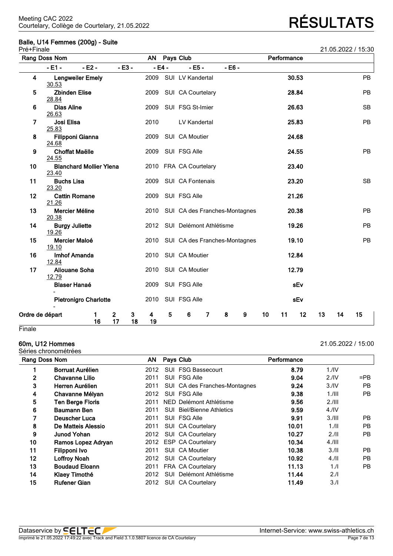## **Balle, U14 Femmes (200g) - Suite**

| Pré+Finale      |                                  |                                |                               |         |           |         |                                    |          |   |    |             |       |    |    | 21.05.2022 / 15:30 |
|-----------------|----------------------------------|--------------------------------|-------------------------------|---------|-----------|---------|------------------------------------|----------|---|----|-------------|-------|----|----|--------------------|
|                 | Rang Doss Nom                    |                                |                               |         | <b>AN</b> |         | Pays Club                          |          |   |    | Performance |       |    |    |                    |
|                 | $-E1 -$                          | $- E2 -$                       |                               | $-E3-$  |           | $-E4 -$ | $- E5 -$                           | $- E6 -$ |   |    |             |       |    |    |                    |
| 4               | 30.53                            | <b>Lengweiler Emely</b>        |                               |         | 2009      |         | SUI LV Kandertal                   |          |   |    |             | 30.53 |    |    | PB                 |
| 5               | <b>Zbinden Elise</b><br>28.84    |                                |                               |         | 2009      |         | SUI CA Courtelary                  |          |   |    |             | 28.84 |    |    | PB                 |
| 6               | <b>Dias Aline</b><br>26.63       |                                |                               |         | 2009      |         | SUI FSG St-Imier                   |          |   |    |             | 26.63 |    |    | <b>SB</b>          |
| 7               | Josi Elisa<br>25.83              |                                |                               |         | 2010      |         | LV Kandertal                       |          |   |    |             | 25.83 |    |    | PB                 |
| 8               | <b>Filipponi Gianna</b><br>24.68 |                                |                               |         | 2009      |         | SUI CA Moutier                     |          |   |    |             | 24.68 |    |    |                    |
| 9               | <b>Choffat Maëlle</b><br>24.55   |                                |                               |         | 2009      |         | SUI FSG Alle                       |          |   |    |             | 24.55 |    |    | PB                 |
| 10              | 23.40                            | <b>Blanchard Mollier Ylena</b> |                               |         |           |         | 2010 FRA CA Courtelary             |          |   |    |             | 23.40 |    |    |                    |
| 11              | <b>Buchs Lisa</b><br>23.20       |                                |                               |         | 2009      |         | SUI CA Fontenais                   |          |   |    |             | 23.20 |    |    | <b>SB</b>          |
| 12              | <b>Cattin Romane</b><br>21.26    |                                |                               |         | 2009      |         | SUI FSG Alle                       |          |   |    |             | 21.26 |    |    |                    |
| 13              | Mercier Méline<br>20.38          |                                |                               |         |           |         | 2010 SUI CA des Franches-Montagnes |          |   |    |             | 20.38 |    |    | <b>PB</b>          |
| 14              | <b>Burgy Juliette</b><br>19.26   |                                |                               |         | 2012      |         | SUI Delémont Athlétisme            |          |   |    |             | 19.26 |    |    | PB                 |
| 15              | Mercier Maloé<br>19.10           |                                |                               |         | 2010      |         | SUI CA des Franches-Montagnes      |          |   |    |             | 19.10 |    |    | <b>PB</b>          |
| 16              | <b>Imhof Amanda</b><br>12.84     |                                |                               |         | 2010      |         | SUI CA Moutier                     |          |   |    |             | 12.84 |    |    |                    |
| 17              | <b>Aliouane Soha</b><br>12.79    |                                |                               |         | 2010      |         | SUI CA Moutier                     |          |   |    |             | 12.79 |    |    |                    |
|                 | <b>Blaser Hanaé</b>              |                                |                               |         | 2009      |         | SUI FSG Alle                       |          |   |    |             | sEv   |    |    |                    |
|                 |                                  | <b>Pietronigro Charlotte</b>   |                               |         | 2010      |         | SUI FSG Alle                       |          |   |    |             | sEv   |    |    |                    |
| Ordre de départ |                                  | 1<br>16                        | $\overline{\mathbf{2}}$<br>17 | 3<br>18 | 4<br>19   | 5       | 6<br>$\overline{7}$                | 8        | 9 | 10 | 11          | 12    | 13 | 14 | 15                 |
| Finale          |                                  |                                |                               |         |           |         |                                    |          |   |    |             |       |    |    |                    |

Séries chronométrées

## **60m, U12 Hommes** 21.05.2022 / 15:00

|    | פטטווטווטווטוונגעט      | AN   |            |                                  |             |                  |           |
|----|-------------------------|------|------------|----------------------------------|-------------|------------------|-----------|
|    | Rang Doss Nom           |      | Pays Club  |                                  | Performance |                  |           |
|    | <b>Borruat Aurélien</b> | 2012 |            | SUI FSG Bassecourt               | 8.79        | 1.1V             |           |
| 2  | <b>Chavanne Lilio</b>   | 2011 |            | SUI FSG Alle                     | 9.04        | 2.1 <sup>N</sup> | $=$ PB    |
| 3  | Herren Aurélien         | 2011 |            | SUI CA des Franches-Montagnes    | 9.24        | 3.1V             | <b>PB</b> |
| 4  | Chavanne Mélyan         | 2012 |            | SUI FSG Alle                     | 9.38        | $1.1$ III        | PB        |
| 5  | <b>Ten Berge Floris</b> | 2011 |            | NED Delémont Athlétisme          | 9.56        | 2.111            |           |
| 6  | <b>Baumann Ben</b>      | 2011 |            | <b>SUI</b> Biel/Bienne Athletics | 9.59        | 4.1 <sup>N</sup> |           |
| 7  | Deuscher Luca           | 2011 |            | SUI FSG Alle                     | 9.91        | 3.111            | PB.       |
| 8  | De Matteis Alessio      | 2011 |            | SUI CA Courtelary                | 10.01       | 1.11             | <b>PB</b> |
| 9  | <b>Junod Yohan</b>      | 2012 |            | <b>SUI CA Courtelary</b>         | 10.27       | 2.11             | PB        |
| 10 | Ramos Lopez Adryan      | 2012 |            | <b>ESP CA Courtelary</b>         | 10.34       | $4.1$ III        |           |
| 11 | Filipponi Ivo           | 2011 |            | SUI CA Moutier                   | 10.38       | 3.11             | PB        |
| 12 | <b>Loffroy Noah</b>     | 2012 |            | SUI CA Courtelary                | 10.92       | 4.11             | <b>PB</b> |
| 13 | <b>Boudaud Eloann</b>   | 2011 |            | FRA CA Courtelary                | 11.13       | 1.1              | PB        |
| 14 | Klaey Timothé           | 2012 | <b>SUI</b> | Delémont Athlétisme              | 11.44       | 2.1              |           |
| 15 | <b>Rufener Gian</b>     | 2012 |            | SUI CA Courtelary                | 11.49       | 3.1              |           |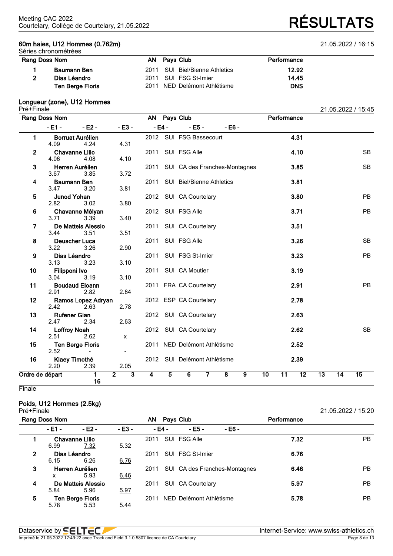## **60m haies, U12 Hommes (0.762m)** 21.05.2022 / 16:15 Séries chronométrées

Courtelary, Collège de Courtelary, 21.05.2022 **RÉSULTATS**

| Rang Doss Nom           |  | Performance                                                                                             |  |  |  |  |  |  |  |  |  |  |
|-------------------------|--|---------------------------------------------------------------------------------------------------------|--|--|--|--|--|--|--|--|--|--|
| Baumann Ben             |  | 12.92                                                                                                   |  |  |  |  |  |  |  |  |  |  |
| Dias Léandro            |  | 14.45                                                                                                   |  |  |  |  |  |  |  |  |  |  |
| <b>Ten Berge Floris</b> |  | <b>DNS</b>                                                                                              |  |  |  |  |  |  |  |  |  |  |
|                         |  | AN Pays Club<br>2011 SUI Biel/Bienne Athletics<br>2011 SUI FSG St-Imier<br>2011 NED Delémont Athlétisme |  |  |  |  |  |  |  |  |  |  |

### **Longueur (zone), U12 Hommes**

| Pré+Finale      |                               |                                                     |                                           |      |                |                               |                         |   |                 |                 |                 |                 |                 | 21.05.2022 / 15:45 |
|-----------------|-------------------------------|-----------------------------------------------------|-------------------------------------------|------|----------------|-------------------------------|-------------------------|---|-----------------|-----------------|-----------------|-----------------|-----------------|--------------------|
|                 | Rang Doss Nom                 |                                                     |                                           |      |                | AN Pays Club                  |                         |   |                 | Performance     |                 |                 |                 |                    |
|                 | $-E1 -$                       | $-E2 -$                                             | $- E3 -$                                  |      | $-E4 -$        | $-EB -$                       | $-EB -$                 |   |                 |                 |                 |                 |                 |                    |
| 1               | 4.09                          | <b>Borruat Aurélien</b><br>4.24                     | 4.31                                      |      |                | 2012 SUI FSG Bassecourt       |                         |   |                 |                 | 4.31            |                 |                 |                    |
| $\mathbf{2}$    | <b>Chavanne Lilio</b><br>4.06 | 4.08                                                | 4.10                                      | 2011 |                | SUI FSG Alle                  |                         |   |                 |                 | 4.10            |                 |                 | <b>SB</b>          |
| 3               | 3.67                          | Herren Aurélien<br>3.85                             | 3.72                                      | 2011 |                | SUI CA des Franches-Montagnes |                         |   |                 |                 | 3.85            |                 |                 | <b>SB</b>          |
| 4               | <b>Baumann Ben</b><br>3.47    | 3.20                                                | 3.81                                      | 2011 |                | SUI Biel/Bienne Athletics     |                         |   |                 |                 | 3.81            |                 |                 |                    |
| 5               | <b>Junod Yohan</b><br>2.82    | 3.02                                                | 3.80                                      |      |                | 2012 SUI CA Courtelary        |                         |   |                 |                 | 3.80            |                 |                 | <b>PB</b>          |
| 6               | 3.71                          | Chavanne Mélyan<br>3.39                             | 3.40                                      |      |                | 2012 SUI FSG Alle             |                         |   |                 |                 | 3.71            |                 |                 | <b>PB</b>          |
| 7               | 3.44                          | De Matteis Alessio<br>3.51                          | 3.51                                      | 2011 |                | SUI CA Courtelary             |                         |   |                 |                 | 3.51            |                 |                 |                    |
| 8               | <b>Deuscher Luca</b><br>3.22  | 3.26                                                | 2.90                                      | 2011 |                | SUI FSG Alle                  |                         |   |                 |                 | 3.26            |                 |                 | <b>SB</b>          |
| 9               | Dias Léandro<br>3.13          | 3.23                                                | 3.10                                      | 2011 |                | SUI FSG St-Imier              |                         |   |                 |                 | 3.23            |                 |                 | <b>PB</b>          |
| 10              | Filipponi Ivo<br>3.04         | 3.19                                                | 3.10                                      | 2011 |                | SUI CA Moutier                |                         |   |                 |                 | 3.19            |                 |                 |                    |
| 11              | 2.91                          | <b>Boudaud Eloann</b><br>2.82                       | 2.64                                      |      |                | 2011 FRA CA Courtelary        |                         |   |                 |                 | 2.91            |                 |                 | <b>PB</b>          |
| 12 <sub>2</sub> | 2.42                          | Ramos Lopez Adryan<br>2.63                          | 2.78                                      |      |                | 2012 ESP CA Courtelary        |                         |   |                 |                 | 2.78            |                 |                 |                    |
| 13              | <b>Rufener Gian</b><br>2.47   | 2.34                                                | 2.63                                      |      |                | 2012 SUI CA Courtelary        |                         |   |                 |                 | 2.63            |                 |                 |                    |
| 14              | <b>Loffroy Noah</b><br>2.51   | 2.62                                                | X                                         |      |                | 2012 SUI CA Courtelary        |                         |   |                 |                 | 2.62            |                 |                 | <b>SB</b>          |
| 15              | 2.52                          | <b>Ten Berge Floris</b><br>$\overline{\phantom{0}}$ | $\overline{\phantom{a}}$                  |      |                | 2011 NED Delémont Athlétisme  |                         |   |                 |                 | 2.52            |                 |                 |                    |
| 16              | Klaey Timothé<br>2.20         | 2.39                                                | 2.05                                      |      |                | 2012 SUI Delémont Athlétisme  |                         |   |                 |                 | 2.39            |                 |                 |                    |
| Ordre de départ |                               | 1<br>16                                             | $\overline{2}$<br>$\overline{\mathbf{3}}$ | 4    | $\overline{5}$ | $\overline{6}$<br>7           | $\overline{\mathbf{8}}$ | 9 | $\overline{10}$ | $\overline{11}$ | $\overline{12}$ | $\overline{13}$ | $\overline{14}$ | $\overline{15}$    |

**Finale** 

## **Poids, U12 Hommes (2.5kg)**

| Pré+Finale     |               |                         |         |                 |  |                         |                               |             | 21.05.2022 / 15:20 |
|----------------|---------------|-------------------------|---------|-----------------|--|-------------------------|-------------------------------|-------------|--------------------|
|                | Rang Doss Nom |                         |         | AN<br>Pays Club |  |                         |                               | Performance |                    |
|                | - E1 -        | - E2 -                  | $-E3 -$ | - E4 -          |  | $-EB -$                 | - E6 -                        |             |                    |
|                |               | <b>Chavanne Lilio</b>   |         | 2011            |  | SUI FSG Alle            |                               | 7.32        | PB.                |
|                | 6.99          | 7.32                    | 5.32    |                 |  |                         |                               |             |                    |
| $\overline{2}$ | Dias Léandro  |                         |         | 2011            |  | SUI FSG St-Imier        |                               | 6.76        |                    |
|                | 6.15          | 6.26                    | 6.76    |                 |  |                         |                               |             |                    |
| 3              |               | Herren Aurélien         |         | 2011            |  |                         | SUI CA des Franches-Montagnes | 6.46        | PB.                |
|                | x             | 5.93                    | 6.46    |                 |  |                         |                               |             |                    |
| 4              |               | De Matteis Alessio      |         | 2011            |  | SUI CA Courtelary       |                               | 5.97        | <b>PB</b>          |
|                | 5.84          | 5.96                    | 5.97    |                 |  |                         |                               |             |                    |
| 5              |               | <b>Ten Berge Floris</b> |         | 2011            |  | NED Delémont Athlétisme |                               | 5.78        | <b>PB</b>          |
|                | 5.78          | 5.53                    | 5.44    |                 |  |                         |                               |             |                    |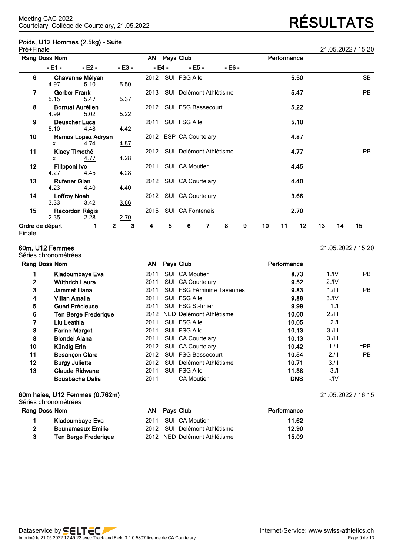## **Poids, U12 Hommes (2.5kg) - Suite** Pré+Finale 21.05.2022 / 15:20

**60m, U12 Femmes** 21.05.2022 / 15:20

| Rang Doss Nom        | AN Pays Club                 | Performance |  |
|----------------------|------------------------------|-------------|--|
| Kladoumbaye Eva      | 2011 SUI CA Moutier          | 11.62       |  |
| Bounameaux Emilie    | 2012 SUI Delémont Athlétisme | 12.90       |  |
| Ten Berge Frederigue | 2012 NED Delémont Athlétisme | 15.09       |  |

**1 Kladoumbaye Eva** 2011 SUI CA Moutier **8.73** 1./IV PB

**3 Jammet Iliana** 2011 SUI FSG Féminine Tavannes **9.83** 1./III PB

**2 Wüthrich Laura** 2011 SUI CA Courtelary **9.52** 2./IV

 **Vifian Amalia** 2011 SUI FSG Alle **9.88** 3./IV **Gueri Précieuse** 2011 SUI FSG St-Imier **9.99** 1./I **Ten Berge Frederique** 2012 NED Delémont Athlétisme **10.00** 2./III **Liu Leatitia** 2011 SUI FSG Alle **10.05** 2./I **Farine Margot** 2011 SUI FSG Alle **10.13** 3./III **Blondel Alana** 2011 SUI CA Courtelary **10.13** 3./III

**12 Burgy Juliette** 2012 SUI Delémont Athlétisme **10.71** 3./II **13 Claude Ridwane** 2011 SUI FSG Alle **11.38** 3./I

|               | 60m haies, U12 Femmes (0.762m)<br>Séries chronométrées |                              |             | 21.05.2022 / 16:15 |
|---------------|--------------------------------------------------------|------------------------------|-------------|--------------------|
| Rang Doss Nom |                                                        | AN Pays Club                 | Performance |                    |
|               | Kladoumbaye Eva                                        | 2011 SUI CA Moutier          | 11.62       |                    |
|               | <b>Bounameaux Emilie</b>                               | 2012 SUI Delémont Athlétisme | 12.90       |                    |

**Bouabacha Dalia** 2011 CA Moutier **DNS** -/IV

### Séries chronométrées **Rang Doss Nom AN Pays Club Performance**

Finale

|                 | Rang Doss Nom               |                                 | AN Pays Club     |      |        |                              |   |        | Performance |    |    |      |    |    |           |
|-----------------|-----------------------------|---------------------------------|------------------|------|--------|------------------------------|---|--------|-------------|----|----|------|----|----|-----------|
|                 | - E1 -                      | $-E2 -$                         | - E3 -           |      | - E4 - | $- E5 -$                     |   | - E6 - |             |    |    |      |    |    |           |
| 6               | 4.97                        | Chavanne Mélyan<br>5.10         | 5.50             |      |        | 2012 SUI FSG Alle            |   |        |             |    |    | 5.50 |    |    | <b>SB</b> |
| 7               | <b>Gerber Frank</b><br>5.15 | <u>5.47</u>                     | 5.37             | 2013 |        | SUI Delémont Athlétisme      |   |        |             |    |    | 5.47 |    |    | PB        |
| 8               | 4.99                        | <b>Borruat Aurélien</b><br>5.02 | 5.22             | 2012 |        | SUI FSG Bassecourt           |   |        |             |    |    | 5.22 |    |    |           |
| 9               | 5.10                        | <b>Deuscher Luca</b><br>4.48    | 4.42             | 2011 |        | SUI FSG Alle                 |   |        |             |    |    | 5.10 |    |    |           |
| 10              | <b>X</b>                    | Ramos Lopez Adryan<br>4.74      | 4.87             |      |        | 2012 ESP CA Courtelary       |   |        |             |    |    | 4.87 |    |    |           |
| 11              | X                           | Klaey Timothé<br>4.77           | 4.28             |      |        | 2012 SUI Delémont Athlétisme |   |        |             |    |    | 4.77 |    |    | PB        |
| $12 \,$         | Filipponi Ivo<br>4.27       | 4.45                            | 4.28             | 2011 |        | SUI CA Moutier               |   |        |             |    |    | 4.45 |    |    |           |
| 13              | <b>Rufener Gian</b><br>4.23 | 4.40                            | 4.40             |      |        | 2012 SUI CA Courtelary       |   |        |             |    |    | 4.40 |    |    |           |
| 14              | <b>Loffroy Noah</b><br>3.33 | 3.42                            | 3.66             |      |        | 2012 SUI CA Courtelary       |   |        |             |    |    | 3.66 |    |    |           |
| 15              | 2.35                        | Racordon Régis<br>2.28          | 2.70             |      |        | 2015 SUI CA Fontenais        |   |        |             |    |    | 2.70 |    |    |           |
| Ordre de départ |                             | 1                               | $\mathbf 2$<br>3 | 4    | 5      | 6                            | 7 | 8      | 9           | 10 | 11 | 12   | 13 | 14 | 15        |

**10 Kündig Erin** 2012 SUI CA Courtelary **10.42** 1./II =PB **11 Besançon Clara** 2012 SUI FSG Bassecourt **10.54** 2./II PB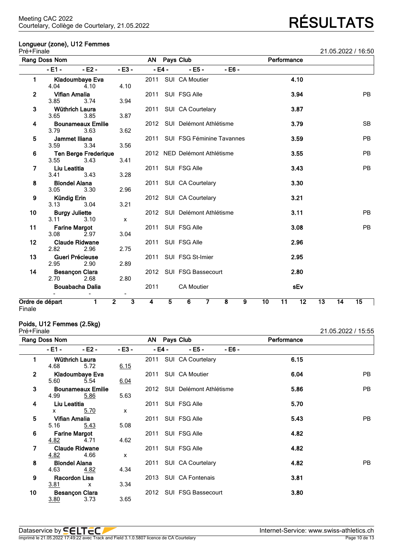## **Longueur (zone), U12 Femmes**

| Pré+Finale                       |                               |                                     |                                           |      |                |                                |                         |   |    |             |                 |    |    | 21.05.2022 / 16:50 |
|----------------------------------|-------------------------------|-------------------------------------|-------------------------------------------|------|----------------|--------------------------------|-------------------------|---|----|-------------|-----------------|----|----|--------------------|
|                                  | Rang Doss Nom                 |                                     |                                           |      |                | AN Pays Club                   |                         |   |    | Performance |                 |    |    |                    |
|                                  | $-E1 -$                       | $-E2 -$                             | $-E3 -$                                   |      | $-E4 -$        | $- E5 -$                       | $- E6 -$                |   |    |             |                 |    |    |                    |
| 1                                | 4.04                          | <b>Kladoumbaye Eva</b><br>4.10      | 4.10                                      |      |                | 2011 SUI CA Moutier            |                         |   |    |             | 4.10            |    |    |                    |
| 2                                | <b>Vifian Amalia</b><br>3.85  | 3.74                                | 3.94                                      |      |                | 2011 SUI FSG Alle              |                         |   |    |             | 3.94            |    |    | <b>PB</b>          |
| 3                                | <b>Wüthrich Laura</b><br>3.65 | 3.85                                | 3.87                                      |      |                | 2011 SUI CA Courtelary         |                         |   |    |             | 3.87            |    |    |                    |
| 4                                | 3.79                          | <b>Bounameaux Emilie</b><br>3.63    | 3.62                                      |      |                | 2012 SUI Delémont Athlétisme   |                         |   |    |             | 3.79            |    |    | <b>SB</b>          |
| 5                                | Jammet Iliana<br>3.59         | 3.34                                | 3.56                                      |      |                | 2011 SUI FSG Féminine Tavannes |                         |   |    |             | 3.59            |    |    | <b>PB</b>          |
| 6                                | 3.55                          | <b>Ten Berge Frederique</b><br>3.43 | 3.41                                      |      |                | 2012 NED Delémont Athlétisme   |                         |   |    |             | 3.55            |    |    | <b>PB</b>          |
| 7                                | Liu Leatitia<br>3.41          | 3.43                                | 3.28                                      | 2011 |                | SUI FSG Alle                   |                         |   |    |             | 3.43            |    |    | <b>PB</b>          |
| 8                                | <b>Blondel Alana</b><br>3.05  | 3.30                                | 2.96                                      |      |                | 2011 SUI CA Courtelary         |                         |   |    |             | 3.30            |    |    |                    |
| 9                                | Kündig Erin<br>3.13           | 3.04                                | 3.21                                      |      |                | 2012 SUI CA Courtelary         |                         |   |    |             | 3.21            |    |    |                    |
| 10                               | <b>Burgy Juliette</b><br>3.11 | 3.10                                | $\mathsf{x}$                              |      |                | 2012 SUI Delémont Athlétisme   |                         |   |    |             | 3.11            |    |    | <b>PB</b>          |
| 11                               | <b>Farine Margot</b><br>3.08  | 2.97                                | 3.04                                      |      |                | 2011 SUI FSG Alle              |                         |   |    |             | 3.08            |    |    | <b>PB</b>          |
| 12                               | 2.82                          | <b>Claude Ridwane</b><br>2.96       | 2.75                                      | 2011 |                | SUI FSG Alle                   |                         |   |    |             | 2.96            |    |    |                    |
| 13                               | Gueri Précieuse<br>2.95       | 2.90                                | 2.89                                      | 2011 |                | SUI FSG St-Imier               |                         |   |    |             | 2.95            |    |    |                    |
| 14                               | <b>Besançon Clara</b><br>2.70 | 2.68                                | 2.80                                      |      |                | 2012 SUI FSG Bassecourt        |                         |   |    |             | 2.80            |    |    |                    |
|                                  |                               | <b>Bouabacha Dalia</b>              | $\blacksquare$                            | 2011 |                | <b>CA Moutier</b>              |                         |   |    |             | sEv             |    |    |                    |
| Ordre de départ<br><b>Finale</b> |                               | 1                                   | $\overline{2}$<br>$\overline{\mathbf{3}}$ | 4    | $\overline{5}$ | 6<br>$\overline{7}$            | $\overline{\mathbf{8}}$ | 9 | 10 | 11          | $\overline{12}$ | 13 | 14 | 15                 |

Finale

### **Poids, U12 Femmes (2.5kg)**

 $3.80$ 

| Pré+Finale     |                      |                          |                           |        |                         |        |             | 21.05.2022 / 15:55 |
|----------------|----------------------|--------------------------|---------------------------|--------|-------------------------|--------|-------------|--------------------|
|                | Rang Doss Nom        |                          |                           |        | AN Pays Club            |        | Performance |                    |
|                | - E1 -               | $-E2 -$                  | $-E3 -$                   | - E4 - | $- E5 -$                | - E6 - |             |                    |
| 1              |                      | Wüthrich Laura           |                           | 2011   | SUI CA Courtelary       |        | 6.15        |                    |
|                | 4.68                 | 5.72                     | 6.15                      |        |                         |        |             |                    |
| $\overline{2}$ |                      | Kladoumbaye Eva          |                           | 2011   | SUI CA Moutier          |        | 6.04        | PB.                |
|                | 5.60                 | 5.54                     | 6.04                      |        |                         |        |             |                    |
| 3              |                      | <b>Bounameaux Emilie</b> |                           | 2012   | SUI Delémont Athlétisme |        | 5.86        | <b>PB</b>          |
|                | 4.99                 | 5.86                     | 5.63                      |        |                         |        |             |                    |
| 4              | Liu Leatitia         |                          |                           | 2011   | SUI FSG Alle            |        | 5.70        |                    |
|                | x                    | 5.70                     | $\boldsymbol{\mathsf{x}}$ |        |                         |        |             |                    |
| 5              | Vifian Amalia        |                          |                           | 2011   | SUI FSG Alle            |        | 5.43        | <b>PB</b>          |
|                | 5.16                 | 5.43                     | 5.08                      |        |                         |        |             |                    |
| 6              |                      | <b>Farine Margot</b>     |                           | 2011   | SUI FSG Alle            |        | 4.82        |                    |
|                | 4.82                 | 4.71                     | 4.62                      |        |                         |        |             |                    |
| 7              |                      | <b>Claude Ridwane</b>    |                           | 2011   | SUI FSG Alle            |        | 4.82        |                    |
|                | 4.82                 | 4.66                     | $\mathsf{x}$              |        |                         |        |             |                    |
| 8              | <b>Blondel Alana</b> |                          |                           | 2011   | SUI CA Courtelary       |        | 4.82        | <b>PB</b>          |
|                | 4.63                 | 4.82                     | 4.34                      |        |                         |        |             |                    |
| 9              |                      | Racordon Lisa            |                           | 2013   | SUI CA Fontenais        |        | 3.81        |                    |
|                | 3.81                 | $\mathsf{x}$             | 3.34                      |        |                         |        |             |                    |
| 10             |                      | <b>Besançon Clara</b>    |                           | 2012   | SUI FSG Bassecourt      |        | 3.80        |                    |
|                | 3.80                 | 3.73                     | 3.65                      |        |                         |        |             |                    |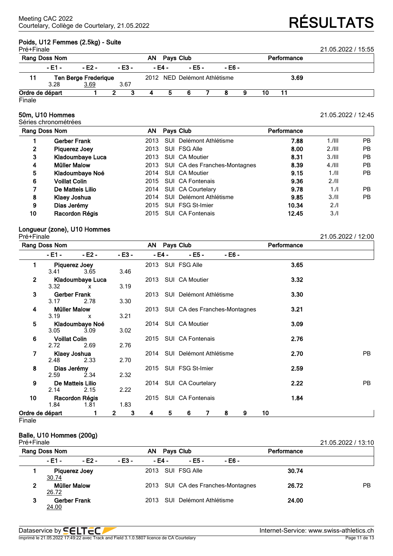## **Poids, U12 Femmes (2.5kg) - Suite**

| Pré+Finale | Rang Doss Nom   |                             |          | ΑN | Pays Club |                              |  |        | Performance | 21.05.2022 / 15:55 |  |
|------------|-----------------|-----------------------------|----------|----|-----------|------------------------------|--|--------|-------------|--------------------|--|
|            | $-E1 -$         | - E2 -                      | $- E3 -$ |    | - E4 -    | - E5 -                       |  | - E6 - |             |                    |  |
|            |                 | <b>Ten Berge Frederique</b> |          |    |           | 2012 NED Delémont Athlétisme |  |        |             | 3.69               |  |
|            | 3.28            | 3.69                        | 3.67     |    |           |                              |  |        |             |                    |  |
|            | Ordre de départ |                             |          | 4  | ь         | 6                            |  |        | 10          |                    |  |

Finale

## **50m, U10 Hommes** 21.05.2022 / 12:45

Séries chronométrées

|    | Rang Doss Nom        | AN.  | Pays Club                     | Performance |           |     |
|----|----------------------|------|-------------------------------|-------------|-----------|-----|
|    | Gerber Frank         | 2013 | SUI Delémont Athlétisme       | 7.88        | $1.1$ III | PB. |
| 2  | Piquerez Joey        | 2013 | SUI FSG Alle                  | 8.00        | 2.111     | PB. |
| 3  | Kladoumbaye Luca     | 2013 | SUI CA Moutier                | 8.31        | 3.111     | PB. |
| 4  | Müller Malow         | 2013 | SUI CA des Franches-Montagnes | 8.39        | $4.1$ III | PB. |
| 5  | Kladoumbaye Noé      | 2014 | SUI CA Moutier                | 9.15        | 1.11      | PB. |
| 6  | <b>Voillat Colin</b> | 2015 | <b>SUI</b> CA Fontenais       | 9.36        | 2.11      |     |
| 7  | De Matteis Lilio     | 2014 | SUI CA Courtelary             | 9.78        | 1/l       | PB. |
| 8  | Klaey Joshua         | 2014 | SUI Delémont Athlétisme       | 9.85        | 3.11      | PB. |
| 9  | Dias Jerémy          | 2015 | SUI FSG St-Imier              | 10.34       | 2.1       |     |
| 10 | Racordon Régis       | 2015 | SUI CA Fontenais              | 12.45       | 3.1       |     |
|    |                      |      |                               |             |           |     |

## **Longueur (zone), U10 Hommes**

| Pré+Finale              |                      |                     |                     |   |        |                                    |   |        |   |    |             | 21.05.2022 / 12:00 |           |
|-------------------------|----------------------|---------------------|---------------------|---|--------|------------------------------------|---|--------|---|----|-------------|--------------------|-----------|
|                         | Rang Doss Nom        |                     |                     |   |        | AN Pays Club                       |   |        |   |    | Performance |                    |           |
|                         | $-E1 -$              | $-E2 -$             | $-E3 -$             |   | - E4 - | - E5 -                             |   | - E6 - |   |    |             |                    |           |
| 1                       |                      | Piquerez Joey       |                     |   |        | 2013 SUI FSG Alle                  |   |        |   |    | 3.65        |                    |           |
|                         | 3.41                 | 3.65                | 3.46                |   |        |                                    |   |        |   |    |             |                    |           |
| $\overline{2}$          |                      | Kladoumbaye Luca    |                     |   |        | 2013 SUI CA Moutier                |   |        |   |    | 3.32        |                    |           |
|                         | 3.32                 | $\mathsf{x}$        | 3.19                |   |        |                                    |   |        |   |    |             |                    |           |
| $\overline{\mathbf{3}}$ |                      | <b>Gerber Frank</b> |                     |   |        | 2013 SUI Delémont Athlétisme       |   |        |   |    | 3.30        |                    |           |
|                         | 3.17                 | 2.78                | 3.30                |   |        |                                    |   |        |   |    |             |                    |           |
| 4                       | <b>Müller Malow</b>  |                     |                     |   |        | 2013 SUI CA des Franches-Montagnes |   |        |   |    | 3.21        |                    |           |
|                         | 3.19                 | $\mathsf{x}$        | 3.21                |   |        |                                    |   |        |   |    |             |                    |           |
| 5                       |                      | Kladoumbaye Noé     |                     |   |        | 2014 SUI CA Moutier                |   |        |   |    | 3.09        |                    |           |
|                         | 3.05                 | 3.09                | 3.02                |   |        |                                    |   |        |   |    |             |                    |           |
| 6                       | <b>Voillat Colin</b> |                     |                     |   |        | 2015 SUI CA Fontenais              |   |        |   |    | 2.76        |                    |           |
|                         | 2.72                 | 2.69                | 2.76                |   |        |                                    |   |        |   |    |             |                    |           |
| 7                       |                      | Klaey Joshua        |                     |   |        | 2014 SUI Delémont Athlétisme       |   |        |   |    | 2.70        |                    | PB.       |
|                         | 2.48                 | 2.33                | 2.70                |   |        |                                    |   |        |   |    |             |                    |           |
| 8                       | Dias Jerémy          |                     |                     |   |        | 2015 SUI FSG St-Imier              |   |        |   |    | 2.59        |                    |           |
|                         | 2.59                 | 2.34                | 2.32                |   |        |                                    |   |        |   |    |             |                    |           |
| 9                       |                      | De Matteis Lilio    |                     |   |        | 2014 SUI CA Courtelary             |   |        |   |    | 2.22        |                    | <b>PB</b> |
|                         | 2.14                 | 2.15                | 2.22                |   |        |                                    |   |        |   |    |             |                    |           |
| 10                      |                      | Racordon Régis      |                     |   |        | 2015 SUI CA Fontenais              |   |        |   |    | 1.84        |                    |           |
|                         | 1.84                 | 1.81                | 1.83                |   |        |                                    |   |        |   |    |             |                    |           |
| Ordre de départ         |                      | 1                   | $\overline{2}$<br>3 | 4 | 5      | 6                                  | 7 | 8      | 9 | 10 |             |                    |           |

**Finale** 

## **Balle, U10 Hommes (200g)**

| Pré+Finale    |              |                      |        |      |        |                         |                                    |             | 21.05.2022 / 13:10 |
|---------------|--------------|----------------------|--------|------|--------|-------------------------|------------------------------------|-------------|--------------------|
| Rang Doss Nom |              |                      |        | AN.  |        | <b>Pays Club</b>        |                                    | Performance |                    |
|               | - E1 -       | - E2 -               | - E3 - |      | - E4 - | - E5 -                  | - E6 -                             |             |                    |
|               | 30.74        | <b>Piquerez Joey</b> |        |      |        | 2013 SUI FSG Alle       |                                    | 30.74       |                    |
| 2             | 26.72        | <b>Müller Malow</b>  |        |      |        |                         | 2013 SUI CA des Franches-Montagnes | 26.72       | <b>PB</b>          |
| 3             | <u>24.00</u> | <b>Gerber Frank</b>  |        | 2013 |        | SUI Delémont Athlétisme |                                    | 24.00       |                    |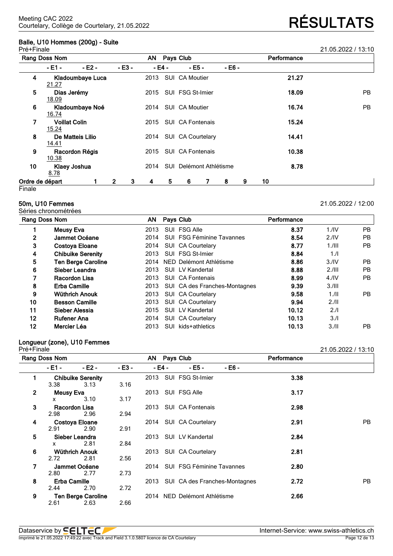## **Balle, U10 Hommes (200g) - Suite**

|                 | Pré+Finale                           |                  |                |         |      |        |                         |   |        |             |    |       | 21.05.2022 / 13:10 |           |
|-----------------|--------------------------------------|------------------|----------------|---------|------|--------|-------------------------|---|--------|-------------|----|-------|--------------------|-----------|
|                 | Rang Doss Nom                        |                  |                |         | AN   |        | Pays Club               |   |        | Performance |    |       |                    |           |
|                 | - E1 -                               | $-E2 -$          |                | $-E3 -$ |      | - E4 - | - E5 -                  |   | - E6 - |             |    |       |                    |           |
| 4               | 21.27                                | Kladoumbaye Luca |                |         | 2013 |        | SUI CA Moutier          |   |        |             |    | 21.27 |                    |           |
| 5               | Dias Jerémy<br>18.09                 |                  |                |         | 2015 |        | SUI FSG St-Imier        |   |        |             |    | 18.09 |                    | PB.       |
| 6               | 16.74                                | Kladoumbaye Noé  |                |         | 2014 |        | SUI CA Moutier          |   |        |             |    | 16.74 |                    | <b>PB</b> |
| 7               | <b>Voillat Colin</b><br><u>15.24</u> |                  |                |         | 2015 |        | <b>SUI CA Fontenais</b> |   |        |             |    | 15.24 |                    |           |
| 8               | 14.41                                | De Matteis Lilio |                |         | 2014 |        | SUI CA Courtelary       |   |        |             |    | 14.41 |                    |           |
| 9               | 10.38                                | Racordon Régis   |                |         | 2015 |        | SUI CA Fontenais        |   |        |             |    | 10.38 |                    |           |
| 10              | 8.78                                 | Klaey Joshua     |                |         | 2014 |        | SUI Delémont Athlétisme |   |        |             |    | 8.78  |                    |           |
| Ordre de départ |                                      |                  | $\overline{2}$ | 3       | 4    | 5      | 6                       | 7 | 8      | 9           | 10 |       |                    |           |
| Finale          |                                      |                  |                |         |      |        |                         |   |        |             |    |       |                    |           |

### **50m, U10 Femmes** 21.05.2022 / 12:00

Séries chronométrées

|              | Rang Doss Nom             |      |      | Pays Club                     | Performance |                  |     |
|--------------|---------------------------|------|------|-------------------------------|-------------|------------------|-----|
|              | <b>Meusy Eva</b>          | 2013 |      | SUI FSG Alle                  | 8.37        | 1.1 <sup>N</sup> | PB  |
| $\mathbf{2}$ | Jammet Océane             | 2014 |      | SUI FSG Féminine Tavannes     | 8.54        | 2.1V             | PB  |
| 3            | <b>Costoya Eloane</b>     | 2014 |      | SUI CA Courtelary             | 8.77        | $1.1$ III        | PB  |
| 4            | <b>Chibuike Serenity</b>  | 2013 |      | SUI FSG St-Imier              | 8.84        | 1.1              |     |
| 5            | <b>Ten Berge Caroline</b> | 2014 |      | NED Delémont Athlétisme       | 8.86        | 3.1V             | PB. |
| 6            | Sieber Leandra            | 2013 |      | SUI LV Kandertal              | 8.88        | 2.111            | PB  |
| 7            | Racordon Lisa             | 2013 |      | SUI CA Fontenais              | 8.99        | 4.1 <sub>N</sub> | PB  |
| 8            | <b>Erba Camille</b>       | 2013 |      | SUI CA des Franches-Montagnes | 9.39        | 3.111            |     |
| 9            | Wüthrich Anouk            | 2013 |      | SUI CA Courtelary             | 9.58        | 1.11             | PB  |
| 10           | <b>Besson Camille</b>     | 2013 |      | SUI CA Courtelary             | 9.94        | 2.11             |     |
| 11           | Sieber Alessia            | 2015 |      | SUI LV Kandertal              | 10.12       | 2.1              |     |
| 12           | <b>Rufener Ana</b>        | 2014 |      | SUI CA Courtelary             | 10.13       | 3.1              |     |
| 12           | Mercier Léa               | 2013 | SUI. | kids+athletics                | 10.13       | 3.11             | PB. |

## **Longueur (zone), U10 Femmes**

**Rang Doss Nom AN Pays Club Performance - E1 - - E2 - - E3 - - E4 - - E5 - - E6 - 1 Chibuike Serenity** 2013 SUI FSG St-Imier **3.38** 3.38 3.13 3.16 **2 Meusy Eva** 2013 SUI FSG Alle **3.17** x 3.10 3.17 **3 Racordon Lisa** 2013 SUI CA Fontenais **2.98** 2.98 2.96 2.94 **4 Costoya Eloane** 2014 SUI CA Courtelary **2.91** PB 2.91 2.90 2.91 **5 Sieber Leandra** 2013 SUI LV Kandertal **2.84** x 2.81 2.84 **6 Wüthrich Anouk** 2013 SUI CA Courtelary **2.81** 2.56 **7 Jammet Océane** 2014 SUI FSG Féminine Tavannes **2.80** 2.77 **8 Erba Camille** 2013 SUI CA des Franches-Montagnes **2.72** PB 2.70 **9 Ten Berge Caroline** 2014 NED Delémont Athlétisme **2.66** 2.63

21.05.2022 / 13:10